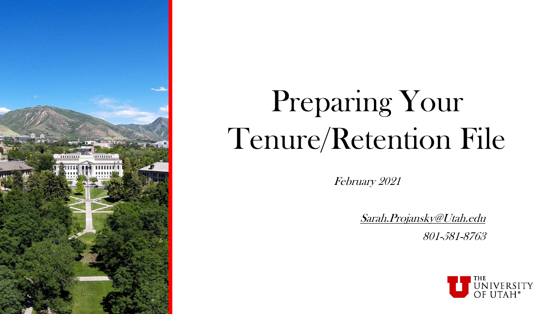

# Preparing Your Tenure/Retention File

February 2021

[Sarah.Projansky@Utah.edu](mailto:sarah.projansky@Utah.edu) 801-581-8763

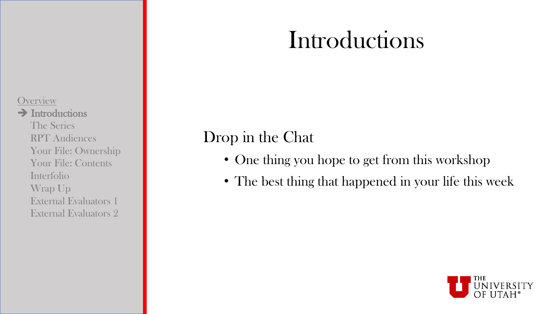### Introductions

#### **Overview**

#### $\rightarrow$  Introductions

The Series RPT Audiences Your File: Ownership Your File: Contents Interfolio Wrap Up External Evaluators 1 External Evaluators 2

### Drop in the Chat

- One thing you hope to get from this workshop
- The best thing that happened in your life this week

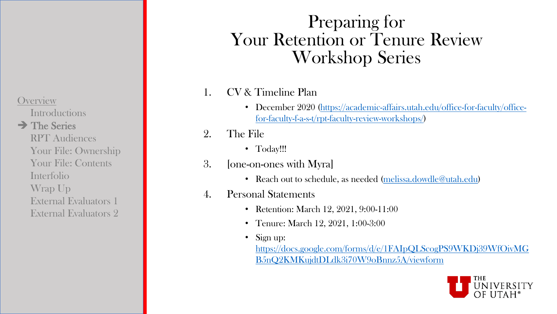**Introductions** 

### $\rightarrow$  The Series

RPT Audiences Your File: Ownership Your File: Contents Interfolio Wrap Up External Evaluators 1 External Evaluators 2

### Preparing for Your Retention or Tenure Review Workshop Series

#### 1. CV & Timeline Plan

- [December 2020 \(https://academic-affairs.utah.edu/office-for-faculty/office](https://academic-affairs.utah.edu/office-for-faculty/office-for-faculty-f-a-s-t/rpt-faculty-review-workshops/)for-faculty-f-a-s-t/rpt-faculty-review-workshops/)
- 2. The File
	- Today!!!
- 3. [one-on-ones with Myra]
	- Reach out to schedule, as needed ([melissa.dowdle@utah.edu\)](mailto:melissa.dowdle@Utah.edu)
- 4. Personal Statements
	- Retention: March 12, 2021, 9:00-11:00
	- Tenure: March 12, 2021, 1:00-3:00
	- Sign up:

[https://docs.google.com/forms/d/e/1FAIpQLScogPS9WKDj39WfOivMG](https://docs.google.com/forms/d/e/1FAIpQLScogPS9WKDj39WfOivMGB5nQ2KMKujdtDLdk3i70W9oBnnz5A/viewform) B5nQ2KMKujdtDLdk3i70W9oBnnz5A/viewform

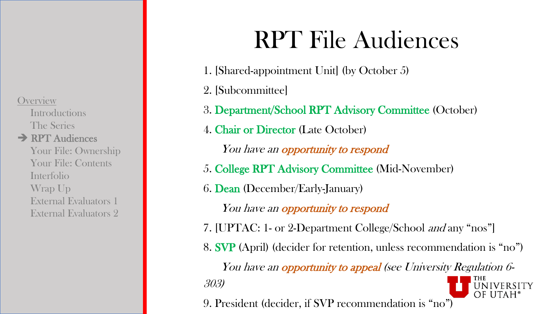**Introductions** The Series **→ RPT Audiences** Your File: Ownership Your File: Contents Interfolio Wrap Up External Evaluators 1 External Evaluators 2

## RPT File Audiences

- 1. [Shared-appointment Unit] (by October 5)
- 2. [Subcommittee]
- 3. Department/School RPT Advisory Committee (October)
- 4. Chair or Director (Late October)
	- You have an **opportunity to respond**
- 5. College RPT Advisory Committee (Mid-November)
- 6. Dean (December/Early-January)
	- You have an **opportunity to respond**
- 7. [UPTAC: 1- or 2-Department College/School and any "nos"]
- 8. SVP (April) (decider for retention, unless recommendation is "no")

You have an **opportunity to appeal** (see University Regulation 6-303)

9. President (decider, if SVP recommendation is "no")

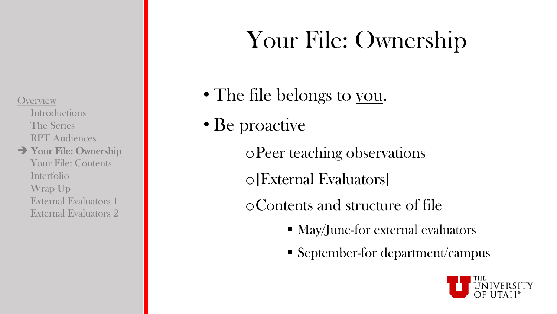Introductions The Series RPT Audiences

#### Your File: Ownership

Your File: Contents Interfolio Wrap Up External Evaluators 1 External Evaluators 2

## Your File: Ownership

• The file belongs to you.

### • Be proactive

oPeer teaching observations

o[External Evaluators]

oContents and structure of file

- $\blacksquare$  May/June-for external evaluators
- September-for department/campus

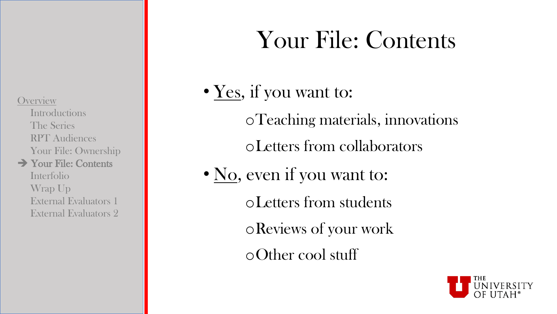Introductions The Series RPT Audiences Your File: Ownership

**→ Your File: Contents** Interfolio Wrap Up External Evaluators 1 External Evaluators 2

## Your File: Contents

- Yes, if you want to:
	- oTeaching materials, innovations
	- oLetters from collaborators
- No, even if you want to:
	- oLetters from students
	- oReviews of your work
	- oOther cool stuff

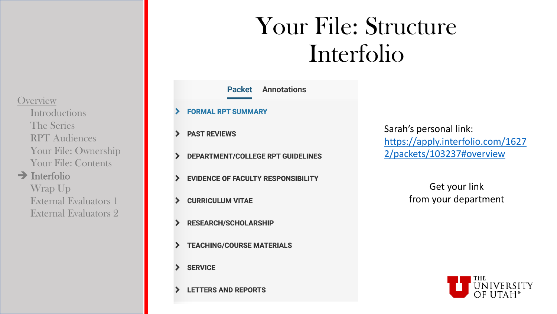**Introductions** The Series RPT Audiences Your File: Ownership Your File: Contents

 $\rightarrow$  Interfolio

Wrap Up External Evaluators 1 External Evaluators 2

## Your File: Structure Interfolio

- **Packet Annotations FORMAL RPT SUMMARY PAST REVIEWS DEPARTMENT/COLLEGE RPT GUIDELINES EVIDENCE OF FACULTY RESPONSIBILITY CURRICULUM VITAE RESEARCH/SCHOLARSHIP TEACHING/COURSE MATERIALS SERVICE**
- **LETTERS AND REPORTS**

 $\blacktriangleright$ 

 $\blacktriangleright$ 

⋗

⋗

Sarah's personal link: [https://apply.interfolio.com/1627](https://apply.interfolio.com/16272/packets/103237#overview) 2/packets/103237#overview

> Get your link from your department

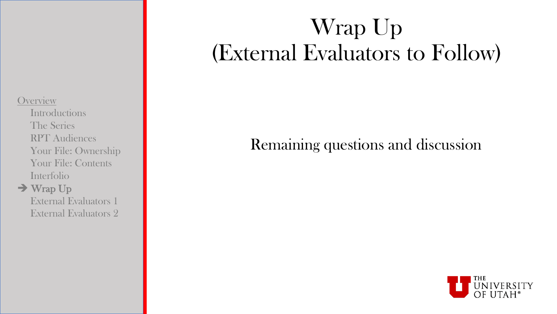**Introductions** The Series RPT Audiences Your File: Ownership Your File: Contents Interfolio

#### $\rightarrow$  Wrap Up

External Evaluators 1 External Evaluators 2

### Wrap Up (External Evaluators to Follow)

### Remaining questions and discussion

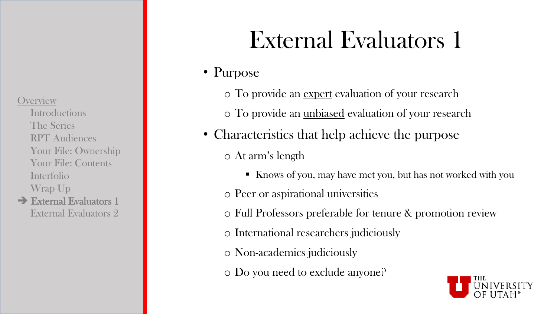**Introductions** The Series RPT Audiences Your File: Ownership Your File: Contents Interfolio Wrap Up

 $\rightarrow$  External Evaluators 1 External Evaluators 2

## External Evaluators 1

### • Purpose

- o To provide an expert evaluation of your research
- o To provide an unbiased evaluation of your research
- Characteristics that help achieve the purpose o At arm's length
	- Knows of you, may have met you, but has not worked with you
	- o Peer or aspirational universities
	- o Full Professors preferable for tenure & promotion review
	- o International researchers judiciously
	- o Non-academics judiciously
	- o Do you need to exclude anyone?